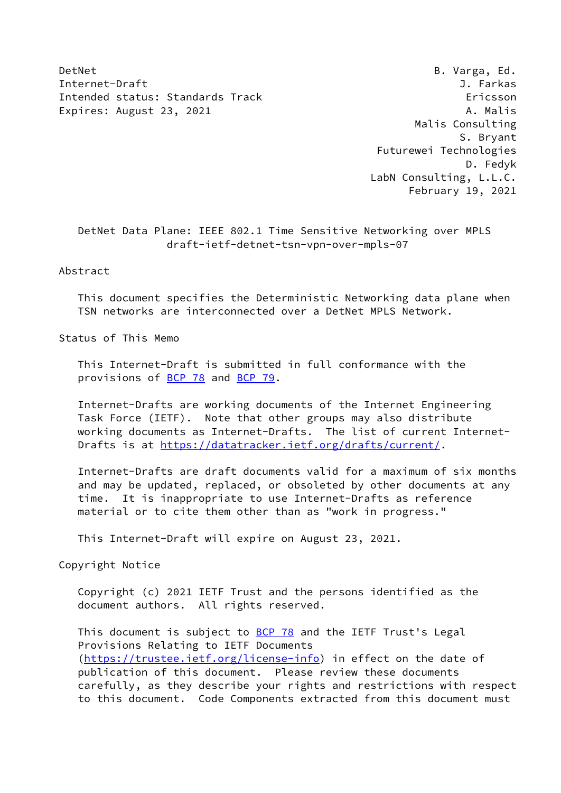DetNet B. Varga, Ed. Internet-Draft J. Farkas Intended status: Standards Track Ericsson Expires: August 23, 2021 **A. Malis** 

 Malis Consulting S. Bryant Futurewei Technologies D. Fedyk LabN Consulting, L.L.C. February 19, 2021

 DetNet Data Plane: IEEE 802.1 Time Sensitive Networking over MPLS draft-ietf-detnet-tsn-vpn-over-mpls-07

# Abstract

 This document specifies the Deterministic Networking data plane when TSN networks are interconnected over a DetNet MPLS Network.

Status of This Memo

 This Internet-Draft is submitted in full conformance with the provisions of **BCP 78** and **BCP 79**.

 Internet-Drafts are working documents of the Internet Engineering Task Force (IETF). Note that other groups may also distribute working documents as Internet-Drafts. The list of current Internet Drafts is at<https://datatracker.ietf.org/drafts/current/>.

 Internet-Drafts are draft documents valid for a maximum of six months and may be updated, replaced, or obsoleted by other documents at any time. It is inappropriate to use Internet-Drafts as reference material or to cite them other than as "work in progress."

This Internet-Draft will expire on August 23, 2021.

Copyright Notice

 Copyright (c) 2021 IETF Trust and the persons identified as the document authors. All rights reserved.

This document is subject to **[BCP 78](https://datatracker.ietf.org/doc/pdf/bcp78)** and the IETF Trust's Legal Provisions Relating to IETF Documents [\(https://trustee.ietf.org/license-info](https://trustee.ietf.org/license-info)) in effect on the date of publication of this document. Please review these documents carefully, as they describe your rights and restrictions with respect to this document. Code Components extracted from this document must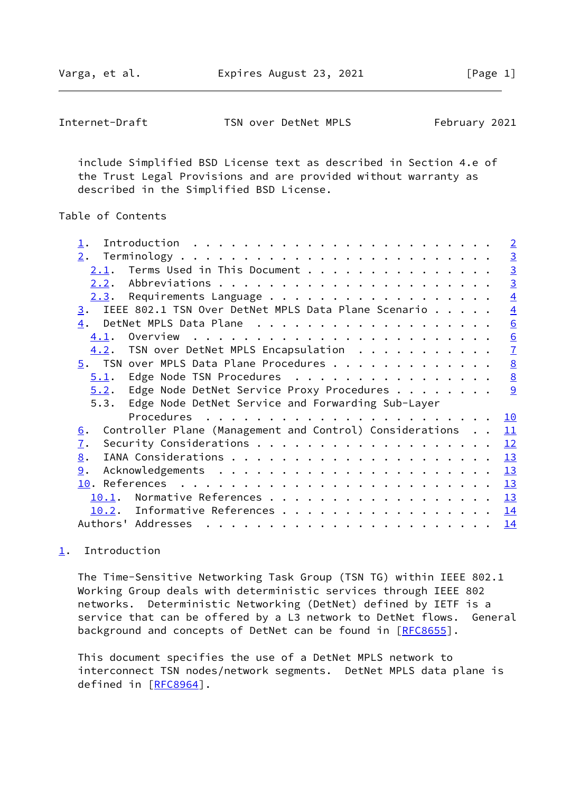Varga, et al. **Expires August 23, 2021** [Page 1]

<span id="page-1-1"></span>Internet-Draft TSN over DetNet MPLS February 2021

 include Simplified BSD License text as described in Section 4.e of the Trust Legal Provisions and are provided without warranty as described in the Simplified BSD License.

# Table of Contents

|                                                                            | $\overline{2}$  |
|----------------------------------------------------------------------------|-----------------|
| 2.                                                                         |                 |
| Terms Used in This Document<br>2.1.                                        | $\frac{3}{3}$   |
|                                                                            | $\overline{3}$  |
| 2.3.                                                                       | $\overline{4}$  |
| IEEE 802.1 TSN Over DetNet MPLS Data Plane Scenario<br>3.                  | $\overline{4}$  |
| $\overline{4}$ .                                                           | 6               |
| Overview $\ldots \ldots \ldots \ldots \ldots \ldots \ldots \ldots$<br>4.1. | $\underline{6}$ |
| TSN over DetNet MPLS Encapsulation<br>4.2.                                 | $\overline{1}$  |
| $\overline{5}$ . TSN over MPLS Data Plane Procedures                       | $\underline{8}$ |
| Edge Node TSN Procedures<br>5.1.                                           | $\underline{8}$ |
| Edge Node DetNet Service Proxy Procedures<br>5.2.                          | 9               |
| Edge Node DetNet Service and Forwarding Sub-Layer<br>5.3.                  |                 |
|                                                                            | <u>10</u>       |
| Controller Plane (Management and Control) Considerations<br><u>6</u> .     | 11              |
| 7.                                                                         | 12              |
| 8.                                                                         | 13              |
| 9.                                                                         | 13              |
|                                                                            | 13              |
| 10.1.                                                                      | 13              |
|                                                                            |                 |
| Informative References<br>10.2.                                            | 14              |

# <span id="page-1-0"></span>[1](#page-1-0). Introduction

 The Time-Sensitive Networking Task Group (TSN TG) within IEEE 802.1 Working Group deals with deterministic services through IEEE 802 networks. Deterministic Networking (DetNet) defined by IETF is a service that can be offered by a L3 network to DetNet flows. General background and concepts of DetNet can be found in [[RFC8655](https://datatracker.ietf.org/doc/pdf/rfc8655)].

 This document specifies the use of a DetNet MPLS network to interconnect TSN nodes/network segments. DetNet MPLS data plane is defined in [[RFC8964\]](https://datatracker.ietf.org/doc/pdf/rfc8964).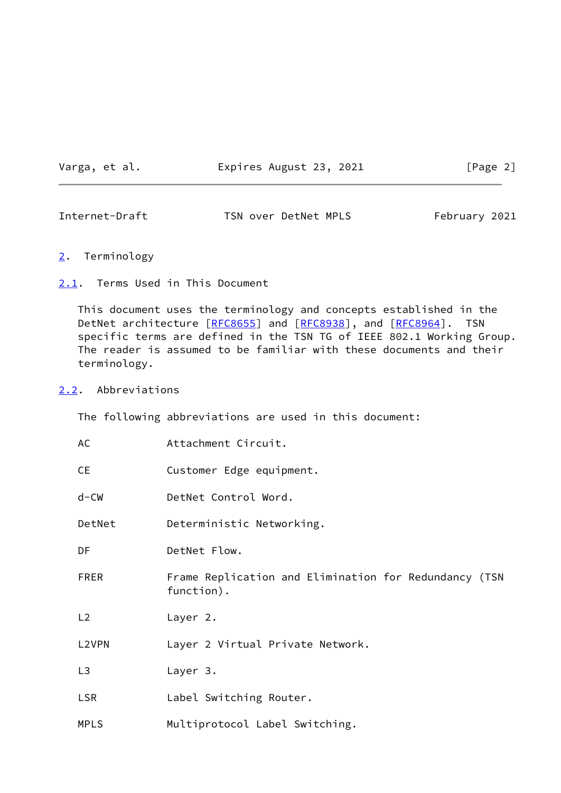Varga, et al. **Expires August 23, 2021** [Page 2]

<span id="page-2-1"></span>Internet-Draft TSN over DetNet MPLS February 2021

- <span id="page-2-0"></span>[2](#page-2-0). Terminology
- <span id="page-2-2"></span>[2.1](#page-2-2). Terms Used in This Document

 This document uses the terminology and concepts established in the DetNet architecture [\[RFC8655](https://datatracker.ietf.org/doc/pdf/rfc8655)] and [[RFC8938](https://datatracker.ietf.org/doc/pdf/rfc8938)], and [\[RFC8964](https://datatracker.ietf.org/doc/pdf/rfc8964)]. TSN specific terms are defined in the TSN TG of IEEE 802.1 Working Group. The reader is assumed to be familiar with these documents and their terminology.

### <span id="page-2-3"></span>[2.2](#page-2-3). Abbreviations

The following abbreviations are used in this document:

| AC             | Attachment Circuit.                                                 |
|----------------|---------------------------------------------------------------------|
| <b>CE</b>      | Customer Edge equipment.                                            |
| $d$ –CW        | DetNet Control Word.                                                |
| DetNet         | Deterministic Networking.                                           |
| DF             | DetNet Flow.                                                        |
| <b>FRER</b>    | Frame Replication and Elimination for Redundancy (TSN<br>function). |
| L2             | Layer 2.                                                            |
| L2VPN          | Layer 2 Virtual Private Network.                                    |
| L <sub>3</sub> | Layer 3.                                                            |
| <b>LSR</b>     | Label Switching Router.                                             |
| <b>MPLS</b>    | Multiprotocol Label Switching.                                      |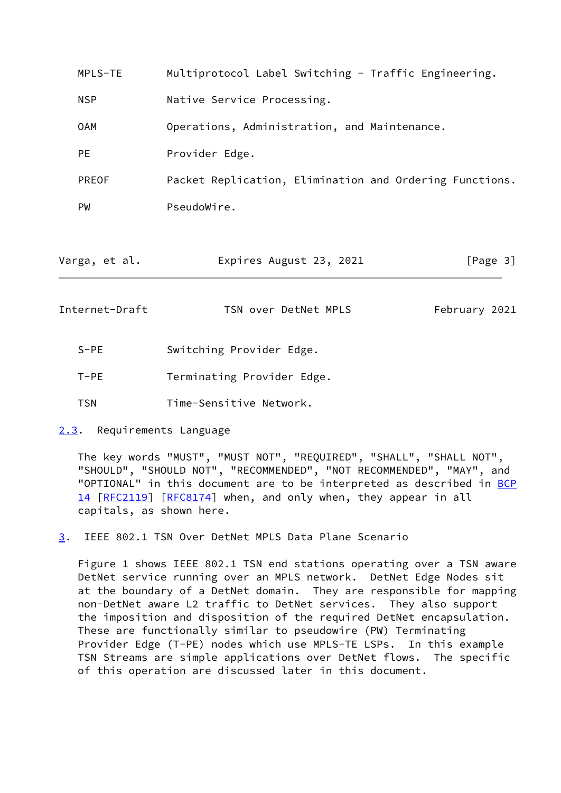| MPLS-TE       | Multiprotocol Label Switching - Traffic Engineering.    |
|---------------|---------------------------------------------------------|
| <b>NSP</b>    | Native Service Processing.                              |
| 0AM           | Operations, Administration, and Maintenance.            |
| <b>PE</b>     | Provider Edge.                                          |
| <b>PREOF</b>  | Packet Replication, Elimination and Ordering Functions. |
| <b>PW</b>     | PseudoWire.                                             |
|               |                                                         |
| Varga, et al. | Expires August 23, 2021<br>[Page 3]                     |

<span id="page-3-1"></span>Internet-Draft TSN over DetNet MPLS February 2021

- S-PE Switching Provider Edge.
- T-PE Terminating Provider Edge.
- TSN Time-Sensitive Network.
- <span id="page-3-0"></span>[2.3](#page-3-0). Requirements Language

 The key words "MUST", "MUST NOT", "REQUIRED", "SHALL", "SHALL NOT", "SHOULD", "SHOULD NOT", "RECOMMENDED", "NOT RECOMMENDED", "MAY", and "OPTIONAL" in this document are to be interpreted as described in [BCP](https://datatracker.ietf.org/doc/pdf/bcp14) [14](https://datatracker.ietf.org/doc/pdf/bcp14) [[RFC2119\]](https://datatracker.ietf.org/doc/pdf/rfc2119) [\[RFC8174](https://datatracker.ietf.org/doc/pdf/rfc8174)] when, and only when, they appear in all capitals, as shown here.

<span id="page-3-2"></span>[3](#page-3-2). IEEE 802.1 TSN Over DetNet MPLS Data Plane Scenario

 Figure 1 shows IEEE 802.1 TSN end stations operating over a TSN aware DetNet service running over an MPLS network. DetNet Edge Nodes sit at the boundary of a DetNet domain. They are responsible for mapping non-DetNet aware L2 traffic to DetNet services. They also support the imposition and disposition of the required DetNet encapsulation. These are functionally similar to pseudowire (PW) Terminating Provider Edge (T-PE) nodes which use MPLS-TE LSPs. In this example TSN Streams are simple applications over DetNet flows. The specific of this operation are discussed later in this document.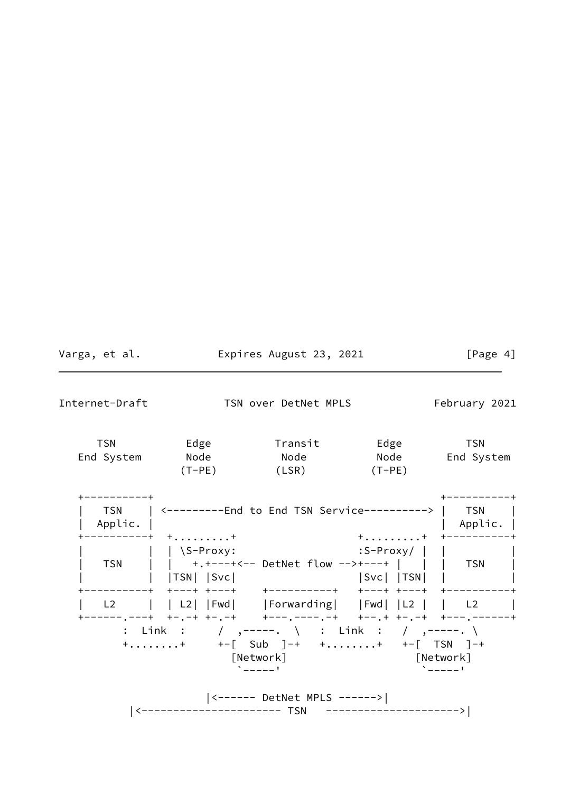| Varga, et al. | Expires August 23, 2021 | [Page 4] |
|---------------|-------------------------|----------|
|               |                         |          |

 $\overline{\phantom{0}}$ 

Internet-Draft TSN over DetNet MPLS February 2021

| TSN        | Edge     | Transit | Edge     | TSN        |
|------------|----------|---------|----------|------------|
| End System | Node     | Node    | Node     | End System |
|            | $(T-PE)$ | (LSR)   | $(T-PE)$ |            |

| <b>TSN</b><br>Applic. | <---------End to End TSN Service---------->                                                                                     |                                                                                         | <b>TSN</b><br>Applic. |
|-----------------------|---------------------------------------------------------------------------------------------------------------------------------|-----------------------------------------------------------------------------------------|-----------------------|
| TSN                   | $-----++$ ++<br>$ $ \S-Proxy:<br>$ TSN $ $ Svc $<br>+---+ +---+   +----------+  +---+ +---+                                     | $+ \ldots \ldots \ldots + + + - - - - - - -$<br>$:$ S-Proxy/    <br>$ Svc $ $ TSN $ $ $ |                       |
| L <sub>2</sub>        | ------,--+ +-,-+ +-,-+   +---,----,-+   +--,+ +-,-+ +---,------+<br>[Network]<br>$\mathbf{v}$ and $\mathbf{v}$ and $\mathbf{v}$ | [Network]<br>$\Delta$ and $\Delta$ and $\Delta$                                         |                       |
|                       | ----------- TSN                                                                                                                 | _ _________                                                                             |                       |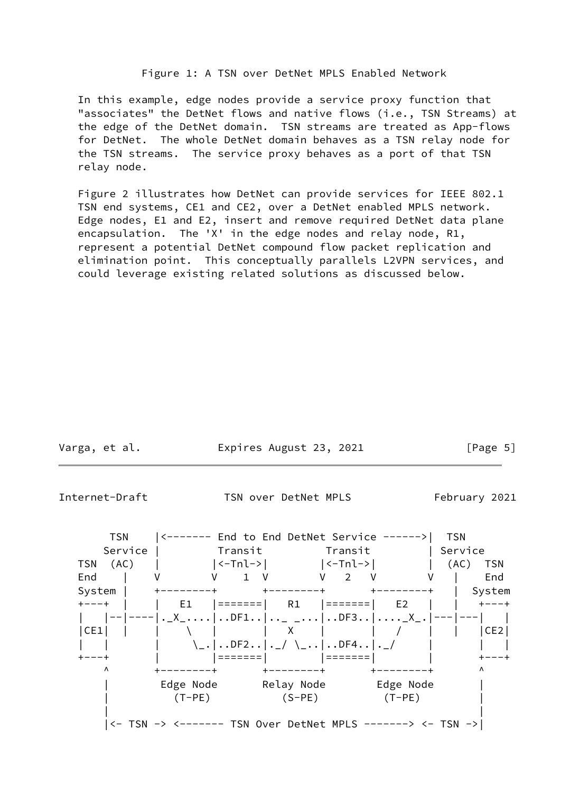### Figure 1: A TSN over DetNet MPLS Enabled Network

 In this example, edge nodes provide a service proxy function that "associates" the DetNet flows and native flows (i.e., TSN Streams) at the edge of the DetNet domain. TSN streams are treated as App-flows for DetNet. The whole DetNet domain behaves as a TSN relay node for the TSN streams. The service proxy behaves as a port of that TSN relay node.

 Figure 2 illustrates how DetNet can provide services for IEEE 802.1 TSN end systems, CE1 and CE2, over a DetNet enabled MPLS network. Edge nodes, E1 and E2, insert and remove required DetNet data plane encapsulation. The 'X' in the edge nodes and relay node, R1, represent a potential DetNet compound flow packet replication and elimination point. This conceptually parallels L2VPN services, and could leverage existing related solutions as discussed below.

| Varga, et al. | Expires August 23, 2021 | [Page 5] |
|---------------|-------------------------|----------|
|               |                         |          |

<span id="page-5-0"></span>Internet-Draft TSN over DetNet MPLS February 2021

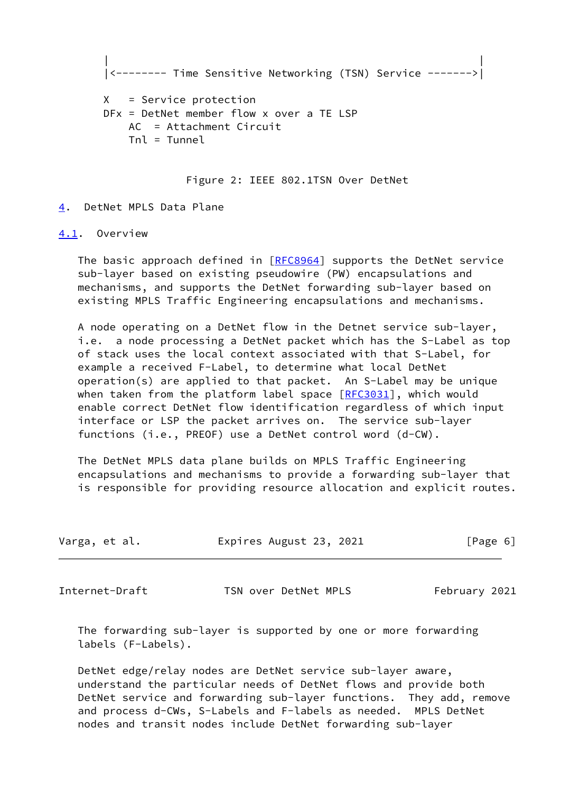```
 | |
|<-------- Time Sensitive Networking (TSN) Service ------->|
```

```
 X = Service protection
DFx = DetNet member flow x over a TE LSP
   AC = Attachment Circuit
  Tn = Tunnel
```
Figure 2: IEEE 802.1TSN Over DetNet

#### <span id="page-6-0"></span>[4](#page-6-0). DetNet MPLS Data Plane

## <span id="page-6-1"></span>[4.1](#page-6-1). Overview

 The basic approach defined in [[RFC8964](https://datatracker.ietf.org/doc/pdf/rfc8964)] supports the DetNet service sub-layer based on existing pseudowire (PW) encapsulations and mechanisms, and supports the DetNet forwarding sub-layer based on existing MPLS Traffic Engineering encapsulations and mechanisms.

 A node operating on a DetNet flow in the Detnet service sub-layer, i.e. a node processing a DetNet packet which has the S-Label as top of stack uses the local context associated with that S-Label, for example a received F-Label, to determine what local DetNet operation(s) are applied to that packet. An S-Label may be unique when taken from the platform label space  $[REC3031]$ , which would enable correct DetNet flow identification regardless of which input interface or LSP the packet arrives on. The service sub-layer functions (i.e., PREOF) use a DetNet control word (d-CW).

 The DetNet MPLS data plane builds on MPLS Traffic Engineering encapsulations and mechanisms to provide a forwarding sub-layer that is responsible for providing resource allocation and explicit routes.

| Varga, et al. |  | Expires August 23, 2021 |  | [Page 6] |  |
|---------------|--|-------------------------|--|----------|--|
|---------------|--|-------------------------|--|----------|--|

<span id="page-6-2"></span>Internet-Draft TSN over DetNet MPLS February 2021

 The forwarding sub-layer is supported by one or more forwarding labels (F-Labels).

 DetNet edge/relay nodes are DetNet service sub-layer aware, understand the particular needs of DetNet flows and provide both DetNet service and forwarding sub-layer functions. They add, remove and process d-CWs, S-Labels and F-labels as needed. MPLS DetNet nodes and transit nodes include DetNet forwarding sub-layer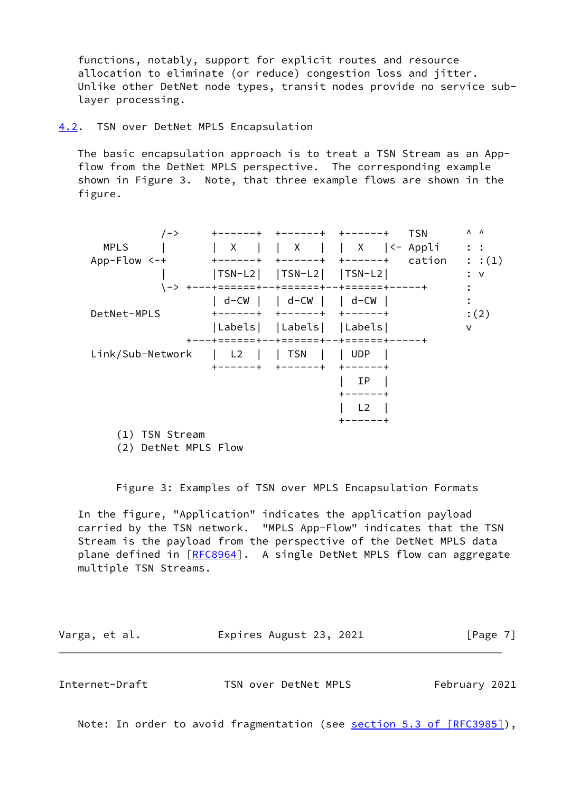functions, notably, support for explicit routes and resource allocation to eliminate (or reduce) congestion loss and jitter. Unlike other DetNet node types, transit nodes provide no service sub layer processing.

<span id="page-7-0"></span>[4.2](#page-7-0). TSN over DetNet MPLS Encapsulation

 The basic encapsulation approach is to treat a TSN Stream as an App flow from the DetNet MPLS perspective. The corresponding example shown in Figure 3. Note, that three example flows are shown in the figure.

| /->              | ------+        | +------+ +------+                |                                          | <b>TSN</b> | $\Lambda$ $\Lambda$ |
|------------------|----------------|----------------------------------|------------------------------------------|------------|---------------------|
| <b>MPLS</b>      | X              |                                  | X  <- Appli                              |            | $\mathbf{\ddot{.}}$ |
| $App-Flow < -+$  | -----+         | +------+                         | $+ - - - - - +$                          | cation     | : :(1)              |
|                  |                | $ TSN-L2 $ $ TSN-L2 $ $ TSN-L2 $ |                                          |            | $:$ $\vee$          |
|                  |                |                                  | -> +---+======+--+======+--+======+----+ |            |                     |
|                  | l d-CW         | d-CW     d-CW                    |                                          |            |                     |
| DetNet-MPLS      |                | +------+ +------+                | キーーーーーーキ                                 |            | :(2)                |
|                  |                | Labels   Labels   Labels         |                                          |            | v                   |
|                  | キーーーキニニニニニニキー  | -+======+--+======+              |                                          |            |                     |
| Link/Sub-Network | L <sub>2</sub> | TSN                              | $ $ UDP                                  |            |                     |
|                  |                |                                  |                                          |            |                     |
|                  |                |                                  | ΙP                                       |            |                     |
|                  |                |                                  |                                          |            |                     |
|                  |                |                                  | L <sub>2</sub>                           |            |                     |
|                  |                |                                  |                                          |            |                     |
| $(1)$ TCM $CL$   |                |                                  |                                          |            |                     |

(1) TSN Stream

(2) DetNet MPLS Flow

Figure 3: Examples of TSN over MPLS Encapsulation Formats

 In the figure, "Application" indicates the application payload carried by the TSN network. "MPLS App-Flow" indicates that the TSN Stream is the payload from the perspective of the DetNet MPLS data plane defined in [\[RFC8964](https://datatracker.ietf.org/doc/pdf/rfc8964)]. A single DetNet MPLS flow can aggregate multiple TSN Streams.

Varga, et al. **Expires August 23, 2021** [Page 7]

<span id="page-7-1"></span>

| Internet-Draft | TSN over DetNet MPLS | February 2021 |
|----------------|----------------------|---------------|
|                |                      |               |

Note: In order to avoid fragmentation (see section [5.3 of \[RFC3985\]\)](https://datatracker.ietf.org/doc/pdf/rfc3985#section-5.3),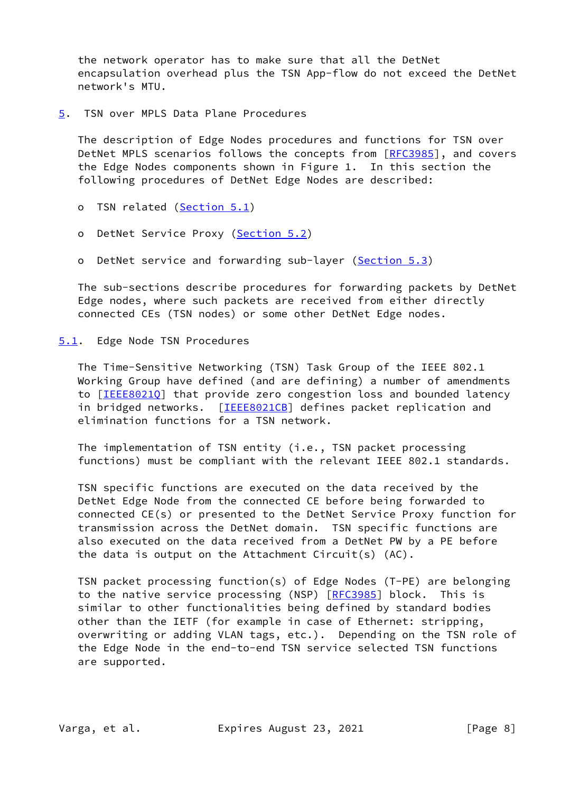the network operator has to make sure that all the DetNet encapsulation overhead plus the TSN App-flow do not exceed the DetNet network's MTU.

<span id="page-8-0"></span>[5](#page-8-0). TSN over MPLS Data Plane Procedures

 The description of Edge Nodes procedures and functions for TSN over DetNet MPLS scenarios follows the concepts from [\[RFC3985](https://datatracker.ietf.org/doc/pdf/rfc3985)], and covers the Edge Nodes components shown in Figure 1. In this section the following procedures of DetNet Edge Nodes are described:

- o TSN related [\(Section 5.1](#page-8-1))
- o DetNet Service Proxy [\(Section 5.2](#page-9-0))
- o DetNet service and forwarding sub-layer ([Section 5.3\)](#page-10-1)

 The sub-sections describe procedures for forwarding packets by DetNet Edge nodes, where such packets are received from either directly connected CEs (TSN nodes) or some other DetNet Edge nodes.

<span id="page-8-1"></span>[5.1](#page-8-1). Edge Node TSN Procedures

 The Time-Sensitive Networking (TSN) Task Group of the IEEE 802.1 Working Group have defined (and are defining) a number of amendments to [[IEEE8021Q\]](#page-15-0) that provide zero congestion loss and bounded latency in bridged networks. [[IEEE8021CB\]](#page-13-6) defines packet replication and elimination functions for a TSN network.

 The implementation of TSN entity (i.e., TSN packet processing functions) must be compliant with the relevant IEEE 802.1 standards.

 TSN specific functions are executed on the data received by the DetNet Edge Node from the connected CE before being forwarded to connected CE(s) or presented to the DetNet Service Proxy function for transmission across the DetNet domain. TSN specific functions are also executed on the data received from a DetNet PW by a PE before the data is output on the Attachment Circuit(s) (AC).

 TSN packet processing function(s) of Edge Nodes (T-PE) are belonging to the native service processing (NSP) [\[RFC3985](https://datatracker.ietf.org/doc/pdf/rfc3985)] block. This is similar to other functionalities being defined by standard bodies other than the IETF (for example in case of Ethernet: stripping, overwriting or adding VLAN tags, etc.). Depending on the TSN role of the Edge Node in the end-to-end TSN service selected TSN functions are supported.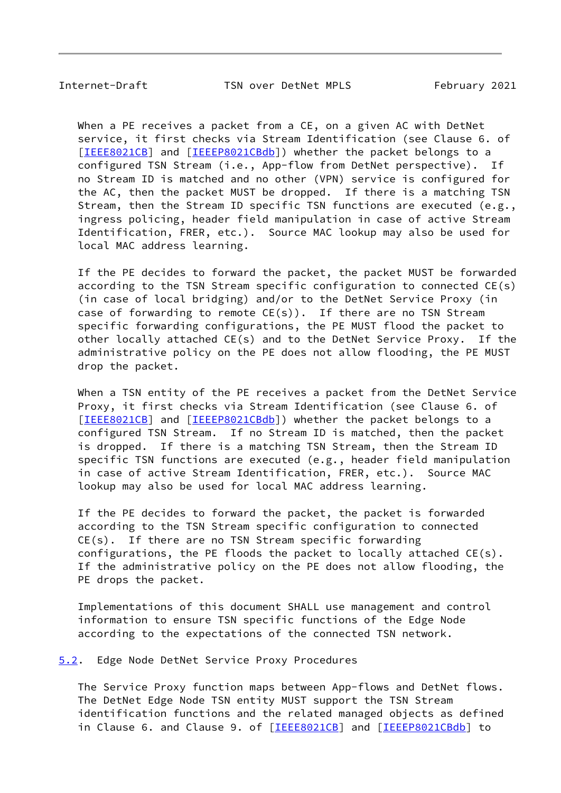<span id="page-9-1"></span>Internet-Draft TSN over DetNet MPLS February 2021

 When a PE receives a packet from a CE, on a given AC with DetNet service, it first checks via Stream Identification (see Clause 6. of [\[IEEE8021CB\]](#page-13-6) and [\[IEEEP8021CBdb\]](#page-14-2)) whether the packet belongs to a configured TSN Stream (i.e., App-flow from DetNet perspective). If no Stream ID is matched and no other (VPN) service is configured for the AC, then the packet MUST be dropped. If there is a matching TSN Stream, then the Stream ID specific TSN functions are executed (e.g., ingress policing, header field manipulation in case of active Stream Identification, FRER, etc.). Source MAC lookup may also be used for local MAC address learning.

 If the PE decides to forward the packet, the packet MUST be forwarded according to the TSN Stream specific configuration to connected CE(s) (in case of local bridging) and/or to the DetNet Service Proxy (in case of forwarding to remote  $CE(s)$ ). If there are no TSN Stream specific forwarding configurations, the PE MUST flood the packet to other locally attached CE(s) and to the DetNet Service Proxy. If the administrative policy on the PE does not allow flooding, the PE MUST drop the packet.

 When a TSN entity of the PE receives a packet from the DetNet Service Proxy, it first checks via Stream Identification (see Clause 6. of [\[IEEE8021CB\]](#page-13-6) and [\[IEEEP8021CBdb\]](#page-14-2)) whether the packet belongs to a configured TSN Stream. If no Stream ID is matched, then the packet is dropped. If there is a matching TSN Stream, then the Stream ID specific TSN functions are executed (e.g., header field manipulation in case of active Stream Identification, FRER, etc.). Source MAC lookup may also be used for local MAC address learning.

 If the PE decides to forward the packet, the packet is forwarded according to the TSN Stream specific configuration to connected CE(s). If there are no TSN Stream specific forwarding configurations, the PE floods the packet to locally attached CE(s). If the administrative policy on the PE does not allow flooding, the PE drops the packet.

 Implementations of this document SHALL use management and control information to ensure TSN specific functions of the Edge Node according to the expectations of the connected TSN network.

<span id="page-9-0"></span>[5.2](#page-9-0). Edge Node DetNet Service Proxy Procedures

 The Service Proxy function maps between App-flows and DetNet flows. The DetNet Edge Node TSN entity MUST support the TSN Stream identification functions and the related managed objects as defined in Clause 6. and Clause 9. of [[IEEE8021CB\]](#page-13-6) and [\[IEEEP8021CBdb](#page-14-2)] to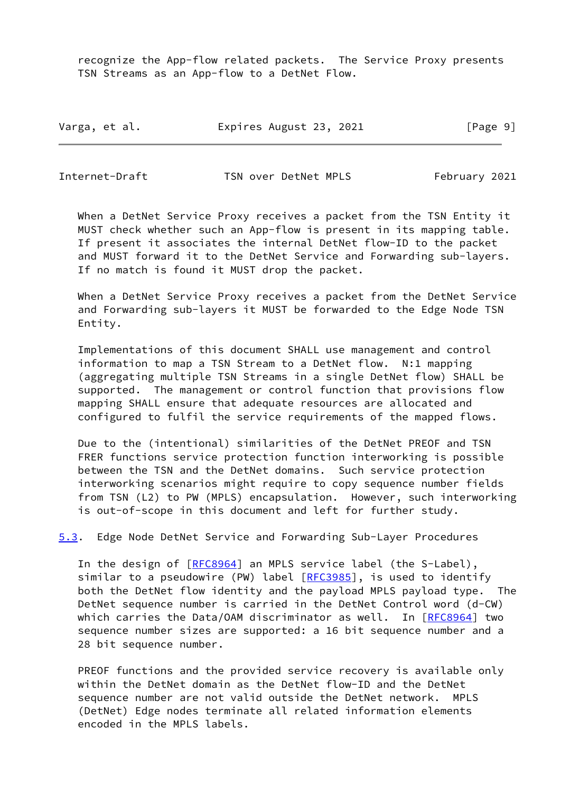recognize the App-flow related packets. The Service Proxy presents TSN Streams as an App-flow to a DetNet Flow.

| Varga, et al. | Expires August 23, 2021 | [Page 9] |
|---------------|-------------------------|----------|
|---------------|-------------------------|----------|

<span id="page-10-0"></span>Internet-Draft TSN over DetNet MPLS February 2021

 When a DetNet Service Proxy receives a packet from the TSN Entity it MUST check whether such an App-flow is present in its mapping table. If present it associates the internal DetNet flow-ID to the packet and MUST forward it to the DetNet Service and Forwarding sub-layers. If no match is found it MUST drop the packet.

 When a DetNet Service Proxy receives a packet from the DetNet Service and Forwarding sub-layers it MUST be forwarded to the Edge Node TSN Entity.

 Implementations of this document SHALL use management and control information to map a TSN Stream to a DetNet flow. N:1 mapping (aggregating multiple TSN Streams in a single DetNet flow) SHALL be supported. The management or control function that provisions flow mapping SHALL ensure that adequate resources are allocated and configured to fulfil the service requirements of the mapped flows.

 Due to the (intentional) similarities of the DetNet PREOF and TSN FRER functions service protection function interworking is possible between the TSN and the DetNet domains. Such service protection interworking scenarios might require to copy sequence number fields from TSN (L2) to PW (MPLS) encapsulation. However, such interworking is out-of-scope in this document and left for further study.

<span id="page-10-1"></span>[5.3](#page-10-1). Edge Node DetNet Service and Forwarding Sub-Layer Procedures

In the design of [\[RFC8964](https://datatracker.ietf.org/doc/pdf/rfc8964)] an MPLS service label (the S-Label), similar to a pseudowire (PW) label [[RFC3985\]](https://datatracker.ietf.org/doc/pdf/rfc3985), is used to identify both the DetNet flow identity and the payload MPLS payload type. The DetNet sequence number is carried in the DetNet Control word (d-CW) which carries the Data/OAM discriminator as well. In [[RFC8964](https://datatracker.ietf.org/doc/pdf/rfc8964)] two sequence number sizes are supported: a 16 bit sequence number and a 28 bit sequence number.

 PREOF functions and the provided service recovery is available only within the DetNet domain as the DetNet flow-ID and the DetNet sequence number are not valid outside the DetNet network. MPLS (DetNet) Edge nodes terminate all related information elements encoded in the MPLS labels.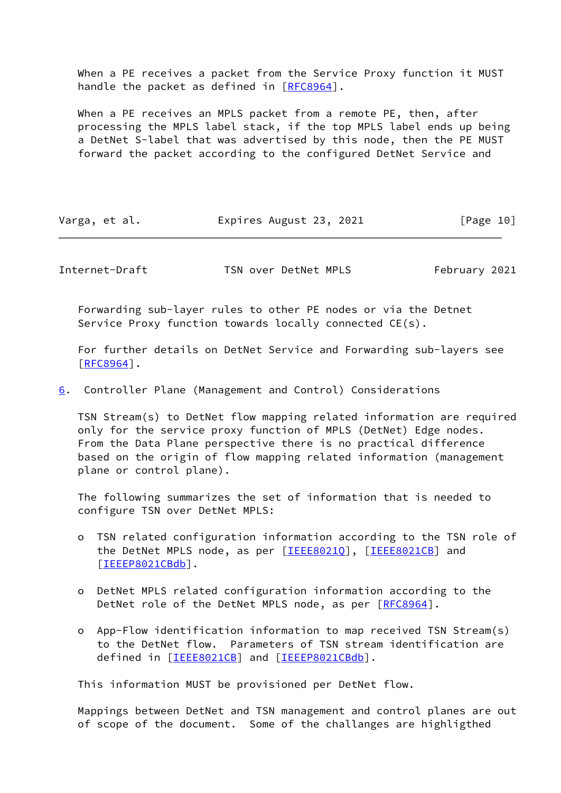When a PE receives a packet from the Service Proxy function it MUST handle the packet as defined in [\[RFC8964](https://datatracker.ietf.org/doc/pdf/rfc8964)].

 When a PE receives an MPLS packet from a remote PE, then, after processing the MPLS label stack, if the top MPLS label ends up being a DetNet S-label that was advertised by this node, then the PE MUST forward the packet according to the configured DetNet Service and

| Varga, et al. | Expires August 23, 2021 | [Page 10] |
|---------------|-------------------------|-----------|
|---------------|-------------------------|-----------|

<span id="page-11-1"></span>Internet-Draft TSN over DetNet MPLS February 2021

 Forwarding sub-layer rules to other PE nodes or via the Detnet Service Proxy function towards locally connected CE(s).

 For further details on DetNet Service and Forwarding sub-layers see [\[RFC8964](https://datatracker.ietf.org/doc/pdf/rfc8964)].

<span id="page-11-0"></span>[6](#page-11-0). Controller Plane (Management and Control) Considerations

 TSN Stream(s) to DetNet flow mapping related information are required only for the service proxy function of MPLS (DetNet) Edge nodes. From the Data Plane perspective there is no practical difference based on the origin of flow mapping related information (management plane or control plane).

 The following summarizes the set of information that is needed to configure TSN over DetNet MPLS:

- o TSN related configuration information according to the TSN role of the DetNet MPLS node, as per [\[IEEE8021Q](#page-15-0)], [\[IEEE8021CB\]](#page-13-6) and [[IEEEP8021CBdb\]](#page-14-2).
- o DetNet MPLS related configuration information according to the DetNet role of the DetNet MPLS node, as per [\[RFC8964](https://datatracker.ietf.org/doc/pdf/rfc8964)].
- o App-Flow identification information to map received TSN Stream(s) to the DetNet flow. Parameters of TSN stream identification are defined in [[IEEE8021CB\]](#page-13-6) and [\[IEEEP8021CBdb](#page-14-2)].

This information MUST be provisioned per DetNet flow.

 Mappings between DetNet and TSN management and control planes are out of scope of the document. Some of the challanges are highligthed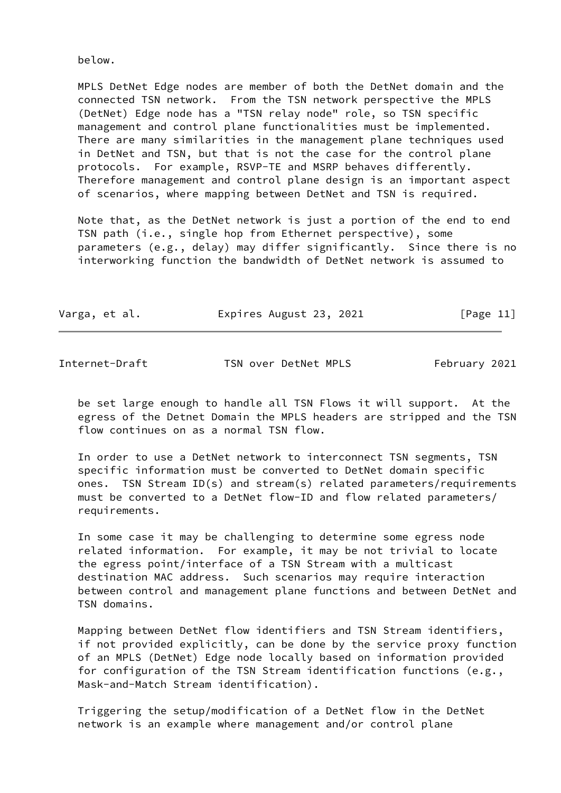below.

 MPLS DetNet Edge nodes are member of both the DetNet domain and the connected TSN network. From the TSN network perspective the MPLS (DetNet) Edge node has a "TSN relay node" role, so TSN specific management and control plane functionalities must be implemented. There are many similarities in the management plane techniques used in DetNet and TSN, but that is not the case for the control plane protocols. For example, RSVP-TE and MSRP behaves differently. Therefore management and control plane design is an important aspect of scenarios, where mapping between DetNet and TSN is required.

 Note that, as the DetNet network is just a portion of the end to end TSN path (i.e., single hop from Ethernet perspective), some parameters (e.g., delay) may differ significantly. Since there is no interworking function the bandwidth of DetNet network is assumed to

| Varga, et al. | Expires August 23, 2021 | [Page 11] |
|---------------|-------------------------|-----------|
|---------------|-------------------------|-----------|

<span id="page-12-0"></span>Internet-Draft TSN over DetNet MPLS February 2021

 be set large enough to handle all TSN Flows it will support. At the egress of the Detnet Domain the MPLS headers are stripped and the TSN flow continues on as a normal TSN flow.

 In order to use a DetNet network to interconnect TSN segments, TSN specific information must be converted to DetNet domain specific ones. TSN Stream ID(s) and stream(s) related parameters/requirements must be converted to a DetNet flow-ID and flow related parameters/ requirements.

 In some case it may be challenging to determine some egress node related information. For example, it may be not trivial to locate the egress point/interface of a TSN Stream with a multicast destination MAC address. Such scenarios may require interaction between control and management plane functions and between DetNet and TSN domains.

 Mapping between DetNet flow identifiers and TSN Stream identifiers, if not provided explicitly, can be done by the service proxy function of an MPLS (DetNet) Edge node locally based on information provided for configuration of the TSN Stream identification functions (e.g., Mask-and-Match Stream identification).

 Triggering the setup/modification of a DetNet flow in the DetNet network is an example where management and/or control plane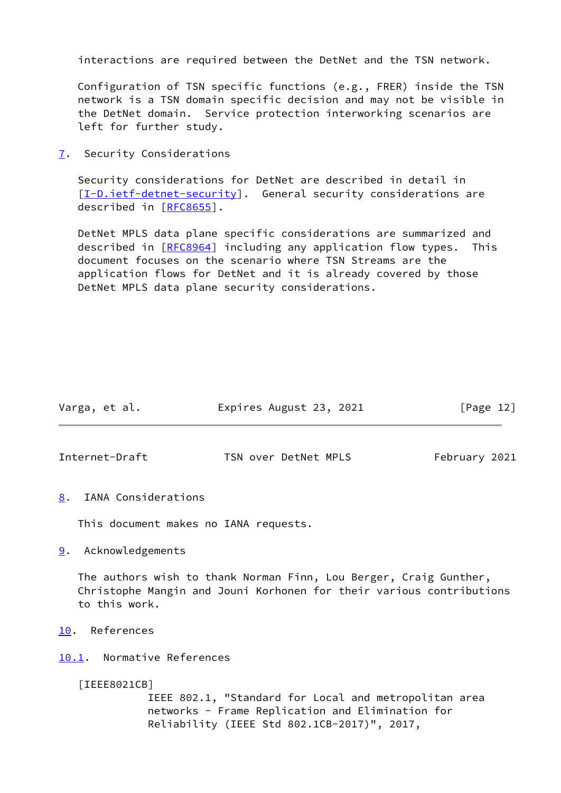interactions are required between the DetNet and the TSN network.

 Configuration of TSN specific functions (e.g., FRER) inside the TSN network is a TSN domain specific decision and may not be visible in the DetNet domain. Service protection interworking scenarios are left for further study.

<span id="page-13-0"></span>[7](#page-13-0). Security Considerations

 Security considerations for DetNet are described in detail in  $[I-D.iett-detnet-security]$ . General security considerations are described in [\[RFC8655](https://datatracker.ietf.org/doc/pdf/rfc8655)].

 DetNet MPLS data plane specific considerations are summarized and described in [\[RFC8964](https://datatracker.ietf.org/doc/pdf/rfc8964)] including any application flow types. This document focuses on the scenario where TSN Streams are the application flows for DetNet and it is already covered by those DetNet MPLS data plane security considerations.

<span id="page-13-2"></span>

| Varga, et al.  | Expires August 23, 2021 | [Page 12]     |
|----------------|-------------------------|---------------|
| Internet-Draft | TSN over DetNet MPLS    | February 2021 |

<span id="page-13-1"></span>[8](#page-13-1). IANA Considerations

This document makes no IANA requests.

<span id="page-13-3"></span>[9](#page-13-3). Acknowledgements

 The authors wish to thank Norman Finn, Lou Berger, Craig Gunther, Christophe Mangin and Jouni Korhonen for their various contributions to this work.

- <span id="page-13-4"></span>[10.](#page-13-4) References
- <span id="page-13-5"></span>[10.1](#page-13-5). Normative References

<span id="page-13-6"></span>[IEEE8021CB]

 IEEE 802.1, "Standard for Local and metropolitan area networks - Frame Replication and Elimination for Reliability (IEEE Std 802.1CB-2017)", 2017,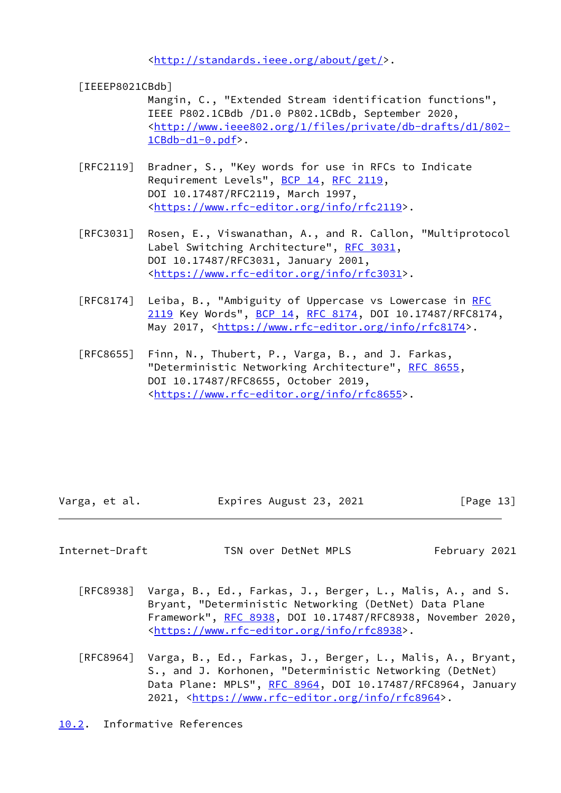<[http://standards.ieee.org/about/get/>](http://standards.ieee.org/about/get/).

<span id="page-14-2"></span>[IEEEP8021CBdb]

 Mangin, C., "Extended Stream identification functions", IEEE P802.1CBdb /D1.0 P802.1CBdb, September 2020, <[http://www.ieee802.org/1/files/private/db-drafts/d1/802-](http://www.ieee802.org/1/files/private/db-drafts/d1/802-1CBdb-d1-0.pdf) [1CBdb-d1-0.pdf](http://www.ieee802.org/1/files/private/db-drafts/d1/802-1CBdb-d1-0.pdf)>.

- [RFC2119] Bradner, S., "Key words for use in RFCs to Indicate Requirement Levels", [BCP 14](https://datatracker.ietf.org/doc/pdf/bcp14), [RFC 2119](https://datatracker.ietf.org/doc/pdf/rfc2119), DOI 10.17487/RFC2119, March 1997, <[https://www.rfc-editor.org/info/rfc2119>](https://www.rfc-editor.org/info/rfc2119).
- [RFC3031] Rosen, E., Viswanathan, A., and R. Callon, "Multiprotocol Label Switching Architecture", [RFC 3031](https://datatracker.ietf.org/doc/pdf/rfc3031), DOI 10.17487/RFC3031, January 2001, <[https://www.rfc-editor.org/info/rfc3031>](https://www.rfc-editor.org/info/rfc3031).
- [RFC8174] Leiba, B., "Ambiguity of Uppercase vs Lowercase in [RFC](https://datatracker.ietf.org/doc/pdf/rfc2119) [2119](https://datatracker.ietf.org/doc/pdf/rfc2119) Key Words", [BCP 14](https://datatracker.ietf.org/doc/pdf/bcp14), [RFC 8174,](https://datatracker.ietf.org/doc/pdf/rfc8174) DOI 10.17487/RFC8174, May 2017, [<https://www.rfc-editor.org/info/rfc8174](https://www.rfc-editor.org/info/rfc8174)>.
- [RFC8655] Finn, N., Thubert, P., Varga, B., and J. Farkas, "Deterministic Networking Architecture", [RFC 8655,](https://datatracker.ietf.org/doc/pdf/rfc8655) DOI 10.17487/RFC8655, October 2019, <[https://www.rfc-editor.org/info/rfc8655>](https://www.rfc-editor.org/info/rfc8655).

Varga, et al. Expires August 23, 2021 [Page 13]

<span id="page-14-1"></span>Internet-Draft TSN over DetNet MPLS February 2021

- [RFC8938] Varga, B., Ed., Farkas, J., Berger, L., Malis, A., and S. Bryant, "Deterministic Networking (DetNet) Data Plane Framework", [RFC 8938,](https://datatracker.ietf.org/doc/pdf/rfc8938) DOI 10.17487/RFC8938, November 2020, <[https://www.rfc-editor.org/info/rfc8938>](https://www.rfc-editor.org/info/rfc8938).
- [RFC8964] Varga, B., Ed., Farkas, J., Berger, L., Malis, A., Bryant, S., and J. Korhonen, "Deterministic Networking (DetNet) Data Plane: MPLS", [RFC 8964](https://datatracker.ietf.org/doc/pdf/rfc8964), DOI 10.17487/RFC8964, January 2021, [<https://www.rfc-editor.org/info/rfc8964](https://www.rfc-editor.org/info/rfc8964)>.

<span id="page-14-0"></span>[10.2](#page-14-0). Informative References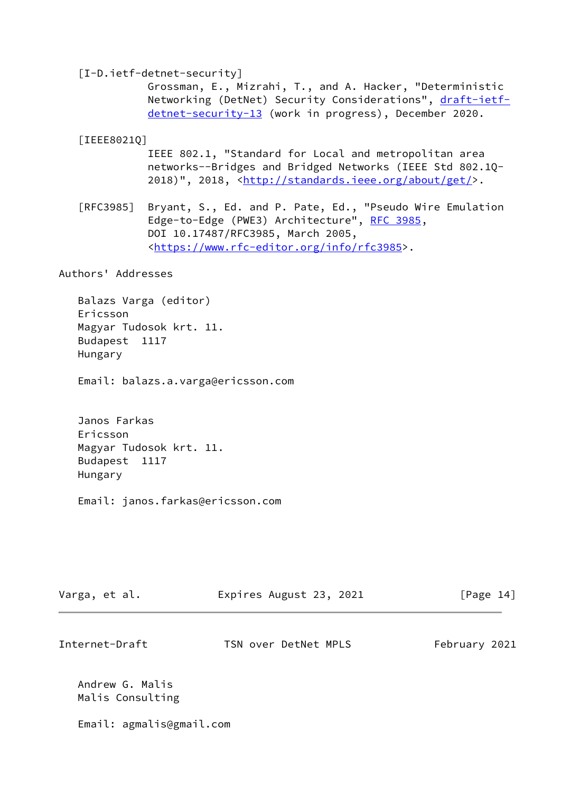<span id="page-15-1"></span><span id="page-15-0"></span> [I-D.ietf-detnet-security] Grossman, E., Mizrahi, T., and A. Hacker, "Deterministic Networking (DetNet) Security Considerations", [draft-ietf](https://datatracker.ietf.org/doc/pdf/draft-ietf-detnet-security-13) [detnet-security-13](https://datatracker.ietf.org/doc/pdf/draft-ietf-detnet-security-13) (work in progress), December 2020. [IEEE8021Q] IEEE 802.1, "Standard for Local and metropolitan area networks--Bridges and Bridged Networks (IEEE Std 802.1Q- 2018)", 2018, [<http://standards.ieee.org/about/get/](http://standards.ieee.org/about/get/)>. [RFC3985] Bryant, S., Ed. and P. Pate, Ed., "Pseudo Wire Emulation Edge-to-Edge (PWE3) Architecture", [RFC 3985](https://datatracker.ietf.org/doc/pdf/rfc3985), DOI 10.17487/RFC3985, March 2005, <[https://www.rfc-editor.org/info/rfc3985>](https://www.rfc-editor.org/info/rfc3985). Authors' Addresses Balazs Varga (editor)

 Ericsson Magyar Tudosok krt. 11. Budapest 1117 Hungary

Email: balazs.a.varga@ericsson.com

 Janos Farkas Ericsson Magyar Tudosok krt. 11. Budapest 1117 Hungary

Email: janos.farkas@ericsson.com

| Varga, et al.                       | Expires August 23, 2021 | [Page $14$ ]  |
|-------------------------------------|-------------------------|---------------|
| Internet-Draft                      | TSN over DetNet MPLS    | February 2021 |
| Andrew G. Malis<br>Malis Consulting |                         |               |

Email: agmalis@gmail.com